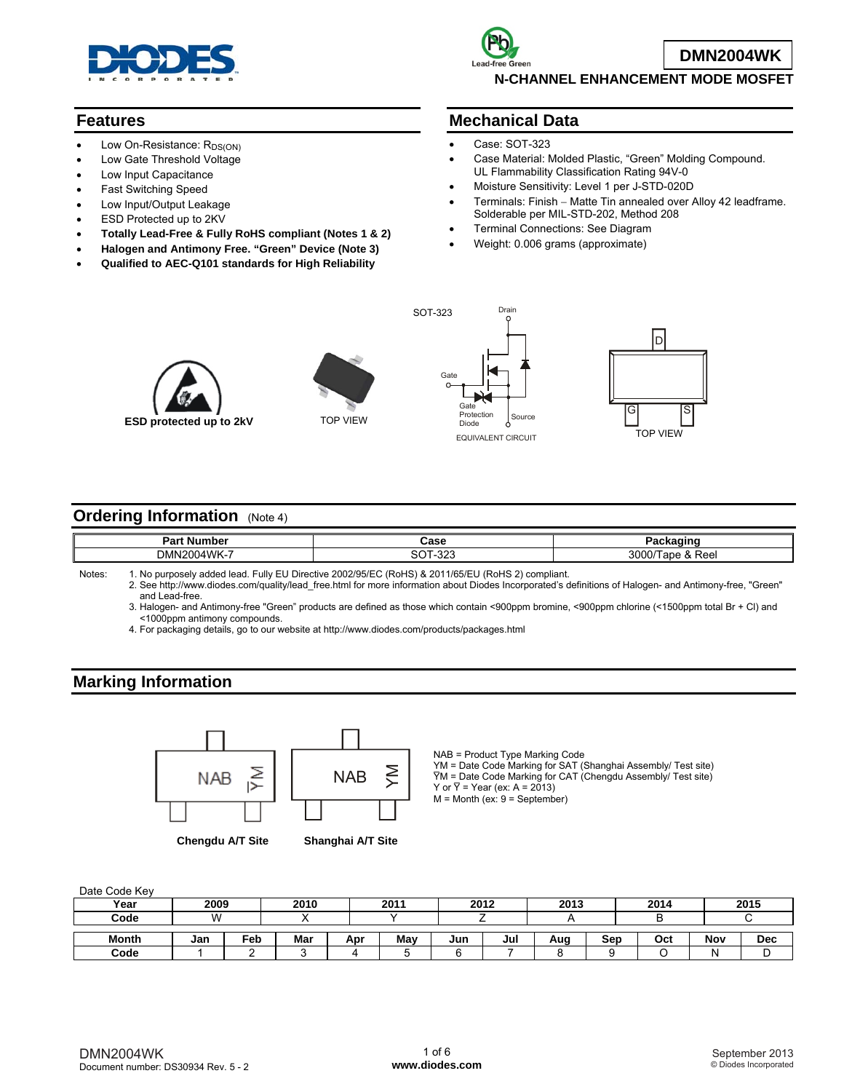

#### **Features**

- Low On-Resistance: R<sub>DS(ON)</sub>
- Low Gate Threshold Voltage
- Low Input Capacitance
- Fast Switching Speed
- Low Input/Output Leakage
- ESD Protected up to 2KV
- **Totally Lead-Free & Fully RoHS compliant (Notes 1 & 2)**
- **Halogen and Antimony Free. "Green" Device (Note 3)**
- **Qualified to AEC-Q101 standards for High Reliability**



**DMN2004WK**

**N-CHANNEL ENHANCEMENT MODE MOSFET** 

#### **Mechanical Data**

- Case: SOT-323
- Case Material: Molded Plastic, "Green" Molding Compound. UL Flammability Classification Rating 94V-0
- Moisture Sensitivity: Level 1 per J-STD-020D
- Terminals: Finish Matte Tin annealed over Alloy 42 leadframe. Solderable per MIL-STD-202, Method 208
- Terminal Connections: See Diagram
- Weight: 0.006 grams (approximate)



**ESD protected up to 2kV** TOP VIEW Source Protection Source



Drain



### **Ordering Information** (Note 4)

| 000<br>ົີ                     |        |
|-------------------------------|--------|
| DM                            | $\sim$ |
| $14$ $M$ $K$ <sub>-</sub> $7$ | - הכ   |
| ാറ്റ                          | $\sim$ |
|                               | w      |
| ັ                             | . .    |

Notes: 1. No purposely added lead. Fully EU Directive 2002/95/EC (RoHS) & 2011/65/EU (RoHS 2) compliant. 2. See [http://www.diodes.com/quality/lead\\_free.html fo](http://www.diodes.com/quality/lead_free.html)r more information about Diodes Incorporated's definitions of Halogen- and Antimony-free, "Green"

and Lead-free.

 3. Halogen- and Antimony-free "Green" products are defined as those which contain <900ppm bromine, <900ppm chlorine (<1500ppm total Br + Cl) and <1000ppm antimony compounds.

4. For packaging details, go to our website at <http://www.diodes.com/products/packages.html>

### **Marking Information**



**Chengdu A/T Site Shanghai A/T Site**

NAB = Product Type Marking Code YM = Date Code Marking for SAT (Shanghai Assembly/ Test site) Y̅M = Date Code Marking for CAT (Chengdu Assembly/ Test site) Y or  $\overline{Y}$  = Year (ex: A = 2013)  $M =$  Month (ex:  $9 =$  September)

Date Code Key

| Year         | 2009 |     | 2010 |     | 2011 |     | 2012 | 2013 |     | 2014 |     | 2015 |
|--------------|------|-----|------|-----|------|-----|------|------|-----|------|-----|------|
| Code         | W    |     |      |     |      |     |      |      |     |      |     |      |
| <b>Month</b> | Jan  | Feb | Mar  | Apr | May  | Jun | Jul  | Aug  | Sep | Oct  | Nov | Dec  |
| Code         |      |     |      |     |      |     |      |      |     |      |     |      |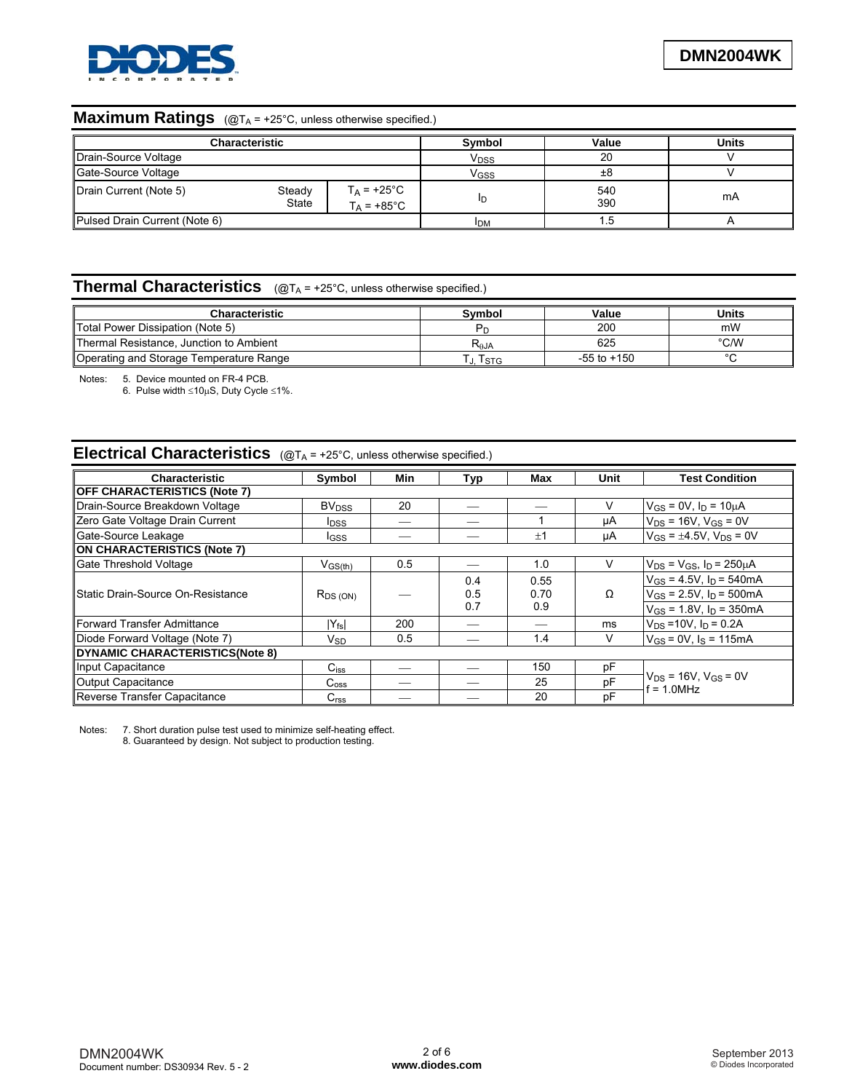

# **Maximum Ratings** (@T<sub>A</sub> = +25°C, unless otherwise specified.)

|                               | <b>Characteristic</b>  |                             | Symbol           | Value      | <b>Units</b> |
|-------------------------------|------------------------|-----------------------------|------------------|------------|--------------|
| Drain-Source Voltage          |                        |                             | V <sub>DSS</sub> | 20         |              |
| Gate-Source Voltage           |                        |                             | V <sub>GSS</sub> | ±8         |              |
| Drain Current (Note 5)        | Steady<br><b>State</b> | $T_A$ = +25°C<br>T⊿ = +85°C | ID               | 540<br>390 | mA           |
| Pulsed Drain Current (Note 6) |                        |                             | <b>I</b> DM      |            |              |

# **Thermal Characteristics** ( $@T_A = +25°C$ , unless otherwise specified.)

| Characteristic                          | Svmbol           | Value           | Units  |
|-----------------------------------------|------------------|-----------------|--------|
| Total Power Dissipation (Note 5)        |                  | 200             | mW     |
| Thermal Resistance, Junction to Ambient | R <sub>aja</sub> | 625             | °C/W   |
| Operating and Storage Temperature Range | I STG            | $-55$ to $+150$ | $\sim$ |

Notes: 5. Device mounted on FR-4 PCB.

6. Pulse width  $\leq 10\mu S$ , Duty Cycle  $\leq 1\%$ .

### **Electrical Characteristics** (@T<sub>A</sub> = +25°C, unless otherwise specified.)

| Characteristic                      | Symbol                     | Min | Typ | Max  | Unit | <b>Test Condition</b>                          |  |  |
|-------------------------------------|----------------------------|-----|-----|------|------|------------------------------------------------|--|--|
| <b>OFF CHARACTERISTICS (Note 7)</b> |                            |     |     |      |      |                                                |  |  |
| Drain-Source Breakdown Voltage      | <b>BV</b> <sub>DSS</sub>   | 20  |     |      | v    | $V_{GS} = 0V$ , $I_D = 10 \mu A$               |  |  |
| Zero Gate Voltage Drain Current     | <b>I</b> DSS               |     |     |      | μA   | $V_{DS}$ = 16V, $V_{GS}$ = 0V                  |  |  |
| Gate-Source Leakage                 | <b>I</b> GSS               |     |     | ±1   | μA   | $V_{GS} = \pm 4.5V$ , $V_{DS} = 0V$            |  |  |
| ON CHARACTERISTICS (Note 7)         |                            |     |     |      |      |                                                |  |  |
| Gate Threshold Voltage              | V <sub>GS<u>(th)</u></sub> | 0.5 |     | 1.0  | V    | $V_{DS} = V_{GS}$ , $I_D = 250 \mu A$          |  |  |
|                                     |                            |     | 0.4 | 0.55 |      | $V_{GS}$ = 4.5V, $I_D$ = 540mA                 |  |  |
| Static Drain-Source On-Resistance   | $R_{DS(ON)}$               |     | 0.5 | 0.70 | Ω    | $V_{GS}$ = 2.5V, $I_D$ = 500mA                 |  |  |
|                                     |                            |     | 0.7 | 0.9  |      | $V_{GS}$ = 1.8V, $I_D$ = 350mA                 |  |  |
| Forward Transfer Admittance         | $ Y_{fs} $                 | 200 |     |      | ms   | $V_{DS} = 10V$ , $I_D = 0.2A$                  |  |  |
| Diode Forward Voltage (Note 7)      | $V_{SD}$                   | 0.5 |     | 1.4  | V    | $V_{GS} = 0V$ , $I_S = 115mA$                  |  |  |
| DYNAMIC CHARACTERISTICS(Note 8)     |                            |     |     |      |      |                                                |  |  |
| Input Capacitance                   | $C_{iss}$                  |     |     | 150  | pF   |                                                |  |  |
| Output Capacitance                  | $C_{\rm oss}$              |     |     | 25   | pF   | $V_{DS}$ = 16V, $V_{GS}$ = 0V<br>$f = 1.0$ MHz |  |  |
| Reverse Transfer Capacitance        | C <sub>rss</sub>           |     |     | 20   | pF   |                                                |  |  |

Notes: 7. Short duration pulse test used to minimize self-heating effect.

8. Guaranteed by design. Not subject to production testing.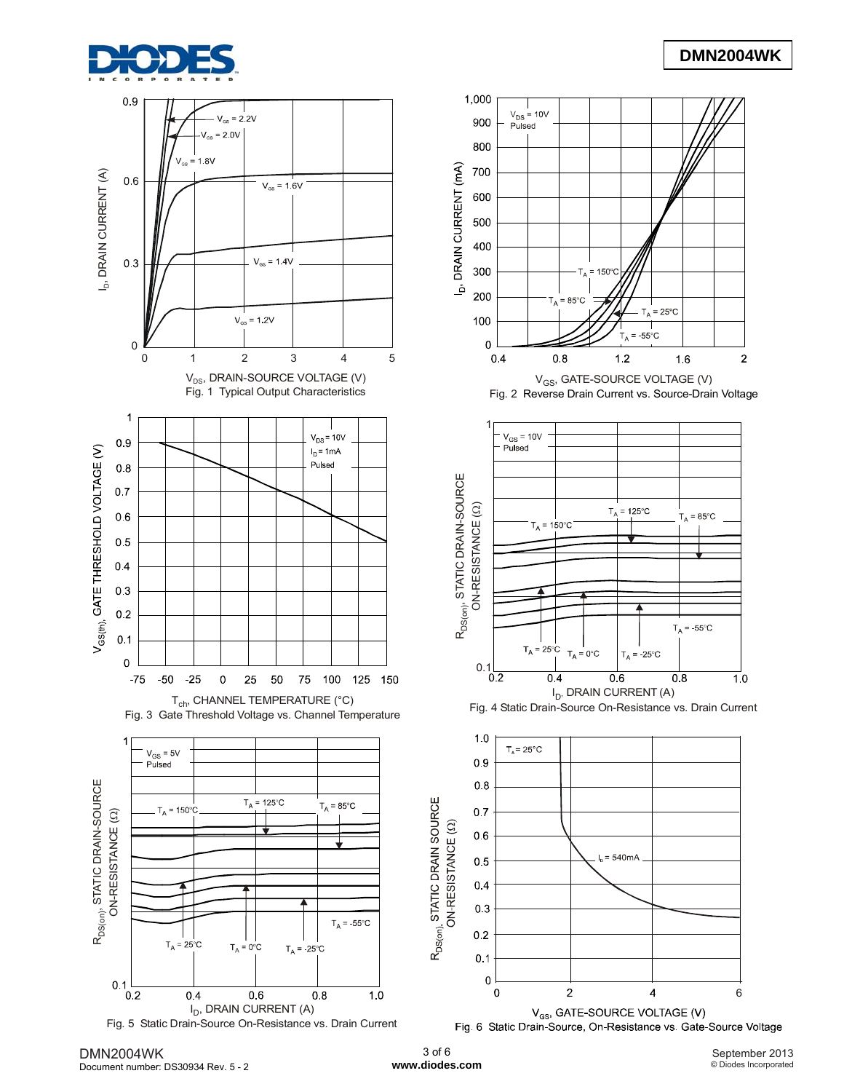



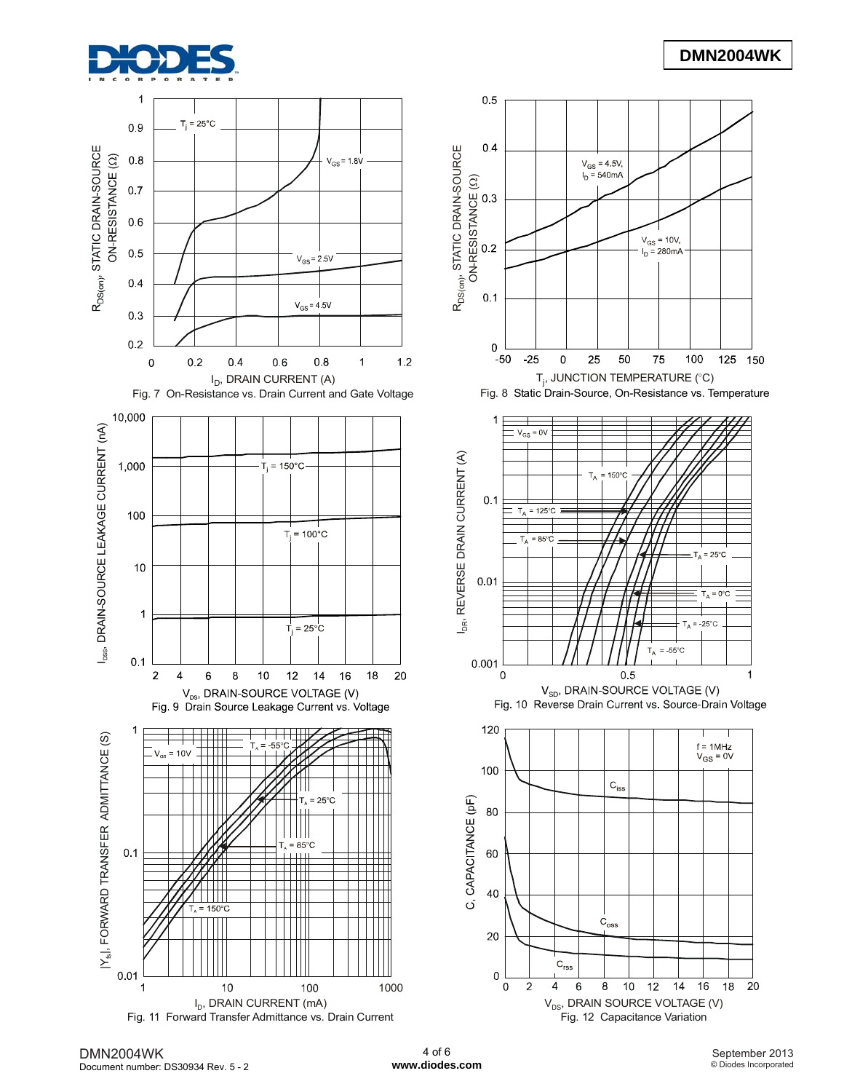





# **DMN2004WK**



Fig. 8 Static Drain-Source, On-Resistance vs. Temperature







DMN2004WK Document number: DS30934 Rev. 5 - 2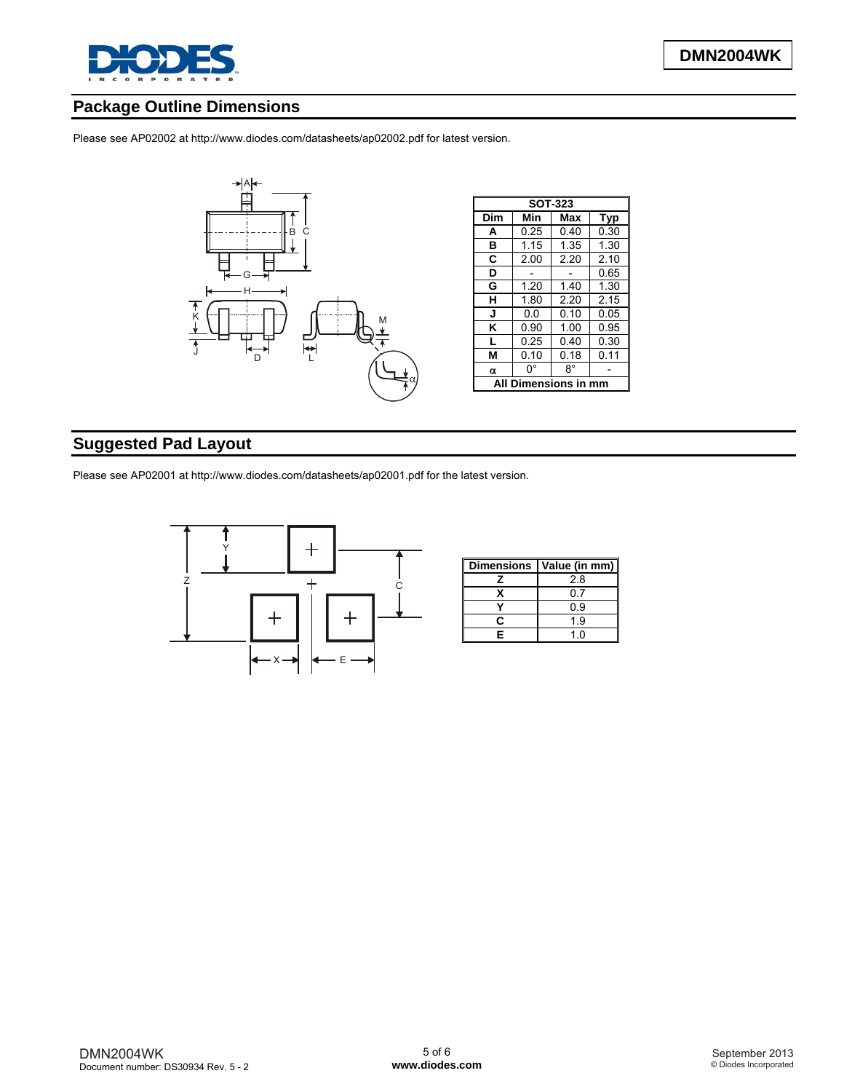

## **Package Outline Dimensions**

Please see AP02002 at [http://www.diodes.com/datasheets/ap02002.pdf fo](http://www.diodes.com/datasheets/ap02002.pdf)r latest version.



## **Suggested Pad Layout**

Please see AP02001 at [http://www.diodes.com/datasheets/ap02001.pdf fo](http://www.diodes.com/datasheets/ap02001.pdf)r the latest version.



| <b>Dimensions</b> | Value (in mm) |
|-------------------|---------------|
|                   | 2.8           |
| x                 | 0.7           |
|                   | ი 9           |
|                   | 19            |
| F                 | 1 በ           |